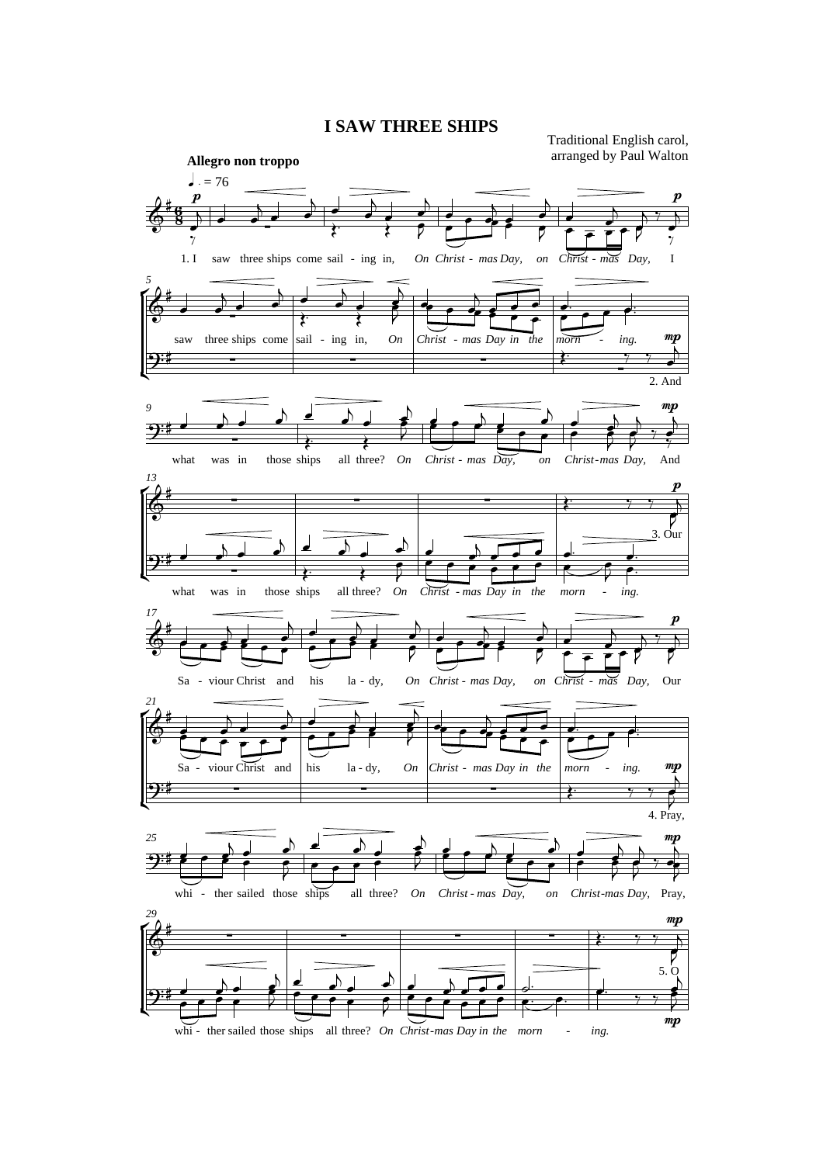## **I SAW THREE SHIPS**

Traditional English carol, arranged by Paul Walton